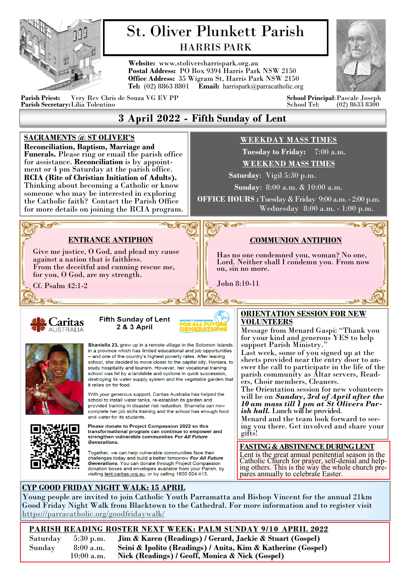

# St. Oliver Plunkett Parish HARRIS PARK

**Website:** www.stoliversharrispark.org.au **Postal Address:** PO Box 9394 Harris Park NSW 2150 **Office Address:** 35 Wigram St, Harris Park NSW 2150 **Tel:** (02) 8863 8801 **Email:** [harrispark@parracatholic.org](mailto:harrispark@parracatholic.org)



**Parish Priest:** Very Rev Chris de Souza VG EV PP **School Principal**:Pascale Joseph **Parish Secretary:** Lilia Tolentino

# **3 April 2022 - Fifth Sunday of Lent**

#### **SACRAMENTS @ ST OLIVER'S WEEKDAY MASS TIMES Reconciliation, Baptism, Marriage and Tuesday to Friday:** 7:00 a.m. **Funerals.** Please ring or email the parish office for assistance. **Reconciliation** is by appoint-**WEEKEND MASS TIMES** ment or 4 pm Saturday at the parish office.  **Saturday**: Vigil 5:30 p.m. **RCIA (Rite of Christian Initiation of Adults).**  Thinking about becoming a Catholic or know **Sunday**: 8:00 a.m. & 10:00 a.m. someone who may be interested in exploring **OFFICE HOURS :** Tuesday & Friday 9:00 a.m. - 2:00 p.m. the Catholic faith? Contact the Parish Office Wednesday 8:00 a.m. - 1:00 p.m. for more details on joining the RCIA program. **More**  $\mathcal{O}_{\mathbf{b}a}$ **ENTRANCE ANTIPHON** *C***OMMUNION ANTIPHON** Give me justice, O God, and plead my cause Has no one condemned you, woman? No one, against a nation that is faithless. Lord. Neither shall I condemn you. From now From the deceitful and cunning rescue me, on, sin no more. for you, O God, are my strength. John 8:10-11 Cf. Psalm 42:1-2  $\Theta_{\infty}$ K eks **ORIENTATION SESSION FOR NEW Fifth Sunday of Lent** <sup>2</sup> Caritas **VOLUNTEERS 2 & 3 April** AUSTRALIA Message from Menard Gaspi: "Thank you for your kind and generous YES to help Shaniella 23, grew up in a remote village in the Solomon Islands support Parish Ministry." in a province which has limited educational and job opportunities Last week, some of you signed up at the – and one of the country's highest poverty rates. After leaving sheets provided near the entry door to anschool, she decided to move closer to the capital city, Honiara, to study hospitality and tourism. However, her vocational training swer the call to participate in the life of the school was hit by a landslide and cyclone in quick succession, parish community as Altar servers, Readdestroying its water supply system and the vegetable garden that ers, Choir members, Cleaners. it relies on for food. The Orientation session for new volunteers With your generous support, Caritas Australia has helped the will be on *Sunday, 3rd of April after the*  school to install water tanks, re-establish its garden and *10 am mass till 1 pm at St Olivers Par*provided training in disaster risk reduction. Shaniella can now *ish hall.* Lunch will be provided. complete her job skills training and the school has enough food and water for its students. Menard and the team look forward to see-Please donate to Project Compassion 2022 so this ing you there. Get involved and share your transformational program can continue to empower and gifts!strengthen vulnerable communities For All Future **Generations FASTING & ABSTINENCE DURING LENT** Together, we can help vulnerable communities face their Lent is the great annual penitential season in the challenges today and build a better tomorrow For All Future Catholic Church for prayer, self-denial and help-Generations. You can donate through Project Compassion ing others. This is the way the whole church predonation boxes and envelopes available from your Parish, by visiting lent.caritas.org.au, or by calling 1800 024 413. pares annually to celebrate Easter. **CYP GOOD FRIDAY NIGHT WALK: 15 APRIL** Young people are invited to join Catholic Youth Parramatta and Bishop Vincent for the annual 21km Good Friday Night Walk from Blacktown to the Cathedral. For more information and to register visit <https://parracatholic.org/goodfridaywalk/>

**PARISH READING ROSTER NEXT WEEK: PALM SUNDAY 9/10 APRIL 2022** Saturday 5:30 p.m. **Jim & Karen (Readings) / Gerard, Jackie & Stuart (Gospel)**  Sunday 8:00 a.m. **Seini & Ipolito (Readings) / Anita, Kim & Katherine (Gospel)** Nick (Readings) / Geoff, Monica & Nick (Gospel)